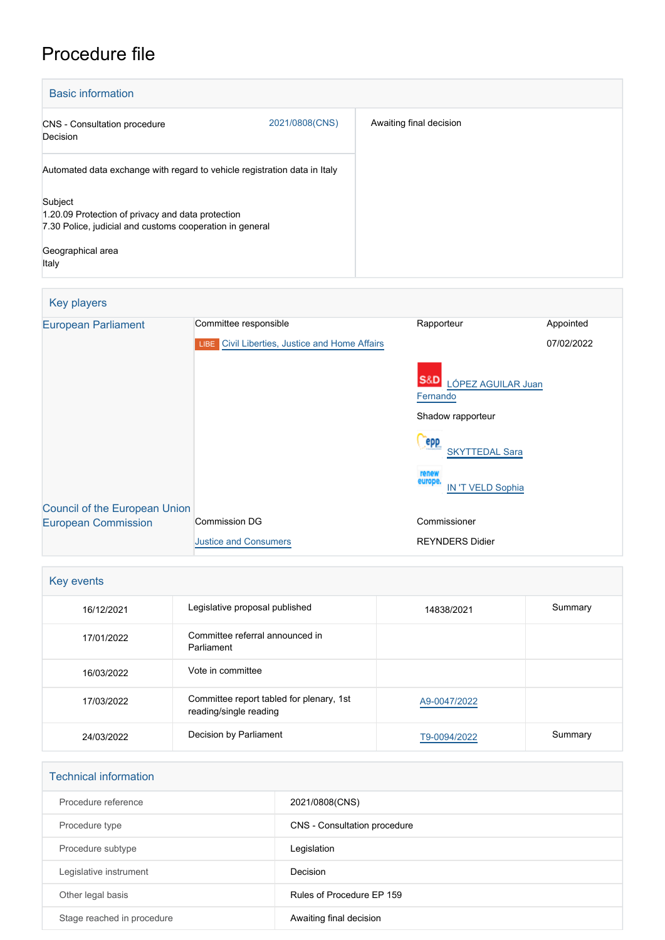## Procedure file

| <b>Basic information</b>                                                                                                                               |                |                         |  |  |
|--------------------------------------------------------------------------------------------------------------------------------------------------------|----------------|-------------------------|--|--|
| <b>CNS</b> - Consultation procedure<br>Decision                                                                                                        | 2021/0808(CNS) | Awaiting final decision |  |  |
| Automated data exchange with regard to vehicle registration data in Italy                                                                              |                |                         |  |  |
| Subject<br>1.20.09 Protection of privacy and data protection<br>7.30 Police, judicial and customs cooperation in general<br>Geographical area<br>Italy |                |                         |  |  |

## Key players [European Parliament](http://www.europarl.europa.eu/) Committee responsible Rapporteur Rapporteur Appointed **LIBE** [Civil Liberties, Justice and Home Affairs](http://www.europarl.europa.eu/committees/en/libe/home.html) S&D [LÓPEZ AGUILAR Juan](http://www.europarl.europa.eu/meps/en/96812) **[Fernando](http://www.europarl.europa.eu/meps/en/96812)** Shadow rapporteur **Cepp** [SKYTTEDAL Sara](http://www.europarl.europa.eu/meps/en/197390) [IN 'T VELD Sophia](http://www.europarl.europa.eu/meps/en/28266) 07/02/2022 [Council of the European Union](http://www.consilium.europa.eu) [European Commission](http://ec.europa.eu/) Commission DG [Justice and Consumers](http://ec.europa.eu/info/departments/justice-and-consumers_en) Commissioner REYNDERS Didier

| Key events |                                                                    |              |         |  |  |
|------------|--------------------------------------------------------------------|--------------|---------|--|--|
| 16/12/2021 | Legislative proposal published                                     | 14838/2021   | Summary |  |  |
| 17/01/2022 | Committee referral announced in<br>Parliament                      |              |         |  |  |
| 16/03/2022 | Vote in committee                                                  |              |         |  |  |
| 17/03/2022 | Committee report tabled for plenary, 1st<br>reading/single reading | A9-0047/2022 |         |  |  |
| 24/03/2022 | Decision by Parliament                                             | T9-0094/2022 | Summary |  |  |

| <b>Technical information</b> |                              |
|------------------------------|------------------------------|
| Procedure reference          | 2021/0808(CNS)               |
| Procedure type               | CNS - Consultation procedure |
| Procedure subtype            | Legislation                  |
| Legislative instrument       | Decision                     |
| Other legal basis            | Rules of Procedure EP 159    |
| Stage reached in procedure   | Awaiting final decision      |